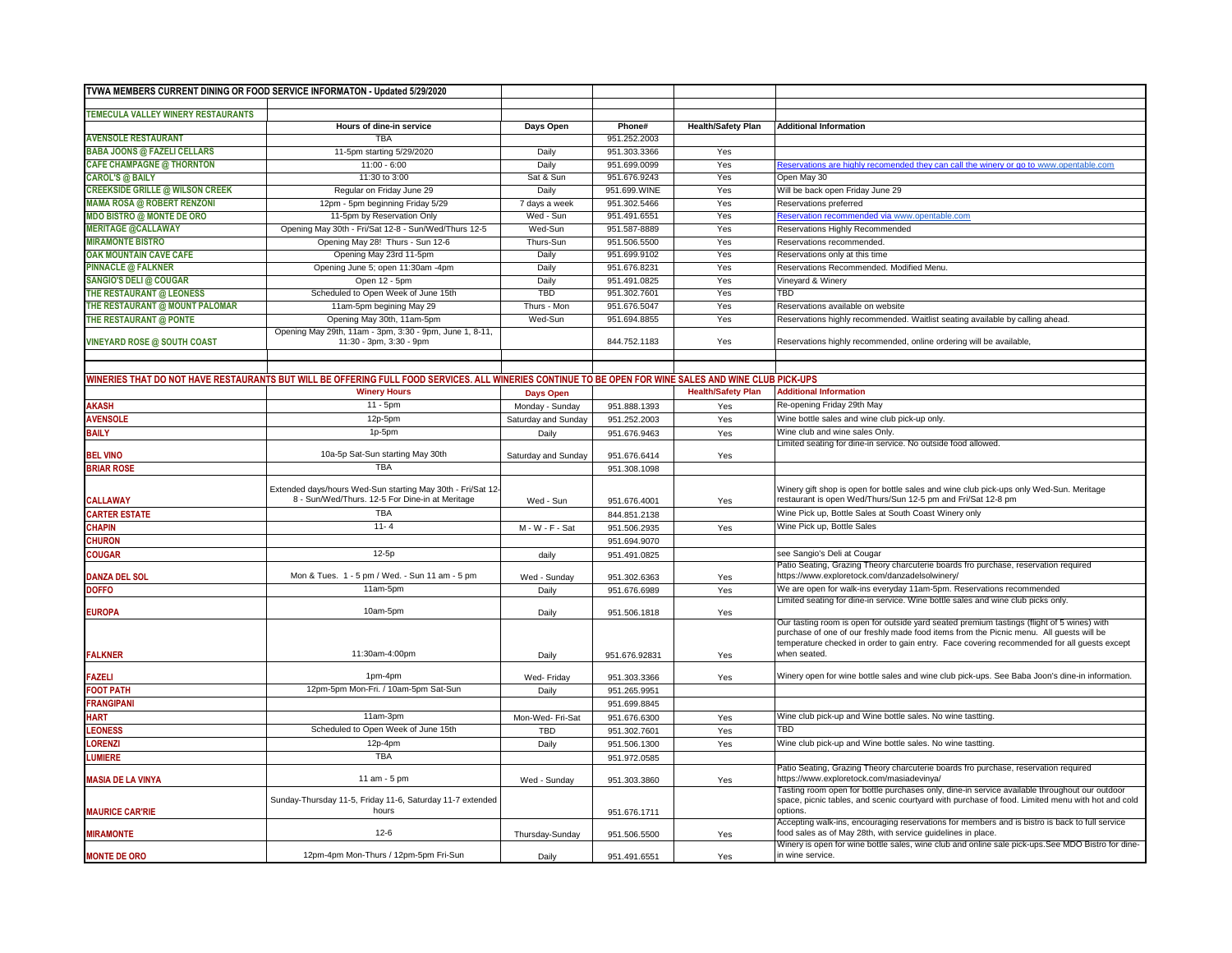|                                                                                                                                                                                                                      | TVWA MEMBERS CURRENT DINING OR FOOD SERVICE INFORMATON - Updated 5/29/2020                                                                            |                     |                              |                           |                                                                                                                                                                    |
|----------------------------------------------------------------------------------------------------------------------------------------------------------------------------------------------------------------------|-------------------------------------------------------------------------------------------------------------------------------------------------------|---------------------|------------------------------|---------------------------|--------------------------------------------------------------------------------------------------------------------------------------------------------------------|
| TEMECULA VALLEY WINERY RESTAURANTS                                                                                                                                                                                   |                                                                                                                                                       |                     |                              |                           |                                                                                                                                                                    |
|                                                                                                                                                                                                                      | Hours of dine-in service                                                                                                                              | Days Open           | Phone#                       | <b>Health/Safety Plan</b> | <b>Additional Information</b>                                                                                                                                      |
| <b>AVENSOLE RESTAURANT</b>                                                                                                                                                                                           | <b>TBA</b>                                                                                                                                            |                     | 951.252.2003                 |                           |                                                                                                                                                                    |
| <b>BABA JOONS @ FAZELI CELLARS</b>                                                                                                                                                                                   | 11-5pm starting 5/29/2020                                                                                                                             | Daily               | 951.303.3366                 | Yes                       |                                                                                                                                                                    |
| <b>CAFE CHAMPAGNE @ THORNTON</b>                                                                                                                                                                                     | $11:00 - 6:00$                                                                                                                                        | Daily               | 951.699.0099                 | Yes                       | teservations are highly recomended they can call the winery or go to www.opentable.com                                                                             |
| <b>CAROL'S @ BAILY</b>                                                                                                                                                                                               | 11:30 to 3:00                                                                                                                                         | Sat & Sun           | 951.676.9243                 | Yes                       | Open May 30                                                                                                                                                        |
| <b>CREEKSIDE GRILLE @ WILSON CREEK</b>                                                                                                                                                                               | Regular on Friday June 29                                                                                                                             | Daily               | 951.699.WINE                 | Yes                       | Will be back open Friday June 29                                                                                                                                   |
| <b>MAMA ROSA @ ROBERT RENZONI</b>                                                                                                                                                                                    | 12pm - 5pm beginning Friday 5/29                                                                                                                      | 7 days a week       | 951.302.5466                 | Yes                       | Reservations preferred                                                                                                                                             |
| <b>MDO BISTRO @ MONTE DE ORO</b>                                                                                                                                                                                     | 11-5pm by Reservation Only                                                                                                                            | Wed - Sun           | 951.491.6551                 | Yes                       | leservation recommended via www.opentable.com                                                                                                                      |
| <b>MERITAGE @CALLAWAY</b>                                                                                                                                                                                            | Opening May 30th - Fri/Sat 12-8 - Sun/Wed/Thurs 12-5                                                                                                  | Wed-Sun             | 951.587-8889                 | Yes                       | Reservations Highly Recommended                                                                                                                                    |
| <b>MIRAMONTE BISTRO</b>                                                                                                                                                                                              | Opening May 28! Thurs - Sun 12-6                                                                                                                      | Thurs-Sun           | 951.506.5500                 | Yes                       | Reservations recommended.                                                                                                                                          |
| <b>OAK MOUNTAIN CAVE CAFE</b>                                                                                                                                                                                        | Opening May 23rd 11-5pm                                                                                                                               | Daily               | 951.699.9102                 | Yes                       | Reservations only at this time                                                                                                                                     |
| <b>PINNACLE @ FALKNER</b>                                                                                                                                                                                            | Opening June 5; open 11:30am -4pm                                                                                                                     | Daily               | 951.676.8231                 | Yes                       | Reservations Recommended, Modified Menu.                                                                                                                           |
| <b>SANGIO'S DELI @ COUGAR</b>                                                                                                                                                                                        | Open 12 - 5pm                                                                                                                                         | Daily               | 951.491.0825                 | Yes                       | Vineyard & Winery                                                                                                                                                  |
| THE RESTAURANT @ LEONESS                                                                                                                                                                                             | Scheduled to Open Week of June 15th                                                                                                                   | <b>TBD</b>          | 951.302.7601                 | Yes                       | TBD                                                                                                                                                                |
| THE RESTAURANT @ MOUNT PALOMAR                                                                                                                                                                                       | 11am-5pm begining May 29                                                                                                                              | Thurs - Mon         | 951.676.5047                 | Yes                       | Reservations available on website                                                                                                                                  |
| THE RESTAURANT @ PONTE                                                                                                                                                                                               | Opening May 30th, 11am-5pm                                                                                                                            | Wed-Sun             | 951.694.8855                 | Yes                       | Reservations highly recommended. Waitlist seating available by calling ahead.                                                                                      |
|                                                                                                                                                                                                                      | Opening May 29th, 11am - 3pm, 3:30 - 9pm, June 1, 8-11,                                                                                               |                     |                              |                           |                                                                                                                                                                    |
| <b>VINEYARD ROSE @ SOUTH COAST</b>                                                                                                                                                                                   | 11:30 - 3pm, 3:30 - 9pm                                                                                                                               |                     | 844.752.1183                 | Yes                       | Reservations highly recommended, online ordering will be available,                                                                                                |
|                                                                                                                                                                                                                      |                                                                                                                                                       |                     |                              |                           |                                                                                                                                                                    |
|                                                                                                                                                                                                                      |                                                                                                                                                       |                     |                              |                           |                                                                                                                                                                    |
|                                                                                                                                                                                                                      | WINERIES THAT DO NOT HAVE RESTAURANTS BUT WILL BE OFFERING FULL FOOD SERVICES. ALL WINERIES CONTINUE TO BE OPEN FOR WINE SALES AND WINE CLUB PICK-UPS |                     |                              |                           |                                                                                                                                                                    |
|                                                                                                                                                                                                                      | <b>Winery Hours</b>                                                                                                                                   | Days Open           |                              | <b>Health/Safety Plan</b> | <b>Additional Information</b>                                                                                                                                      |
| <b>AKASH</b>                                                                                                                                                                                                         | $11 - 5pm$                                                                                                                                            | Monday - Sunday     | 951.888.1393                 | Yes                       | Re-opening Friday 29th May                                                                                                                                         |
| <b>AVENSOLE</b>                                                                                                                                                                                                      | 12p-5pm                                                                                                                                               | Saturday and Sunday | 951.252.2003                 | Yes                       | Wine bottle sales and wine club pick-up only.                                                                                                                      |
| <b>BAILY</b>                                                                                                                                                                                                         | 1p-5pm                                                                                                                                                | Daily               | 951.676.9463                 | Yes                       | Wine club and wine sales Only                                                                                                                                      |
|                                                                                                                                                                                                                      |                                                                                                                                                       |                     |                              |                           | Limited seating for dine-in service. No outside food allowed.                                                                                                      |
| <b>BEL VINO</b>                                                                                                                                                                                                      | 10a-5p Sat-Sun starting May 30th                                                                                                                      | Saturday and Sunday | 951.676.6414                 | Yes                       |                                                                                                                                                                    |
| <b>BRIAR ROSE</b>                                                                                                                                                                                                    | <b>TBA</b>                                                                                                                                            |                     | 951.308.1098                 |                           |                                                                                                                                                                    |
|                                                                                                                                                                                                                      |                                                                                                                                                       |                     |                              |                           |                                                                                                                                                                    |
| <b>CALLAWAY</b>                                                                                                                                                                                                      | Extended days/hours Wed-Sun starting May 30th - Fri/Sat 12<br>8 - Sun/Wed/Thurs. 12-5 For Dine-in at Meritage                                         | Wed - Sun           | 951.676.4001                 | Yes                       | Winery gift shop is open for bottle sales and wine club pick-ups only Wed-Sun. Meritage<br>restaurant is open Wed/Thurs/Sun 12-5 pm and Fri/Sat 12-8 pm            |
| <b>CARTER ESTATE</b>                                                                                                                                                                                                 | TBA                                                                                                                                                   |                     | 844.851.2138                 |                           | Wine Pick up, Bottle Sales at South Coast Winery only                                                                                                              |
| <b>CHAPIN</b>                                                                                                                                                                                                        | $11 - 4$                                                                                                                                              | M - W - F - Sat     | 951.506.2935                 | Yes                       | Wine Pick up, Bottle Sales                                                                                                                                         |
| <b>CHURON</b>                                                                                                                                                                                                        |                                                                                                                                                       |                     |                              |                           |                                                                                                                                                                    |
|                                                                                                                                                                                                                      | $12-5p$                                                                                                                                               |                     | 951.694.9070                 |                           | see Sangio's Deli at Cougar                                                                                                                                        |
| <b>COUGAR</b>                                                                                                                                                                                                        |                                                                                                                                                       | daily               | 951.491.0825                 |                           | Patio Seating, Grazing Theory charcuterie boards fro purchase, reservation required                                                                                |
| <b>DANZA DEL SOL</b>                                                                                                                                                                                                 | Mon & Tues. 1 - 5 pm / Wed. - Sun 11 am - 5 pm                                                                                                        | Wed - Sunday        | 951.302.6363                 | Yes                       | https://www.exploretock.com/danzadelsolwinery/                                                                                                                     |
| <b>DOFFO</b>                                                                                                                                                                                                         | 11am-5pm                                                                                                                                              | Daily               | 951.676.6989                 |                           |                                                                                                                                                                    |
|                                                                                                                                                                                                                      |                                                                                                                                                       |                     |                              |                           |                                                                                                                                                                    |
|                                                                                                                                                                                                                      |                                                                                                                                                       |                     |                              | Yes                       | We are open for walk-ins everyday 11am-5pm. Reservations recommended<br>Limited seating for dine-in service. Wine bottle sales and wine club picks only.           |
|                                                                                                                                                                                                                      | 10am-5pm                                                                                                                                              | Daily               | 951.506.1818                 | Yes                       |                                                                                                                                                                    |
|                                                                                                                                                                                                                      |                                                                                                                                                       |                     |                              |                           | Our tasting room is open for outside yard seated premium tastings (flight of 5 wines) with                                                                         |
|                                                                                                                                                                                                                      |                                                                                                                                                       |                     |                              |                           | purchase of one of our freshly made food items from the Picnic menu. All guests will be                                                                            |
|                                                                                                                                                                                                                      |                                                                                                                                                       |                     |                              |                           | temperature checked in order to gain entry. Face covering recommended for all guests except                                                                        |
|                                                                                                                                                                                                                      | 11:30am-4:00pm                                                                                                                                        | Daily               | 951.676.92831                | Yes                       | when seated.                                                                                                                                                       |
|                                                                                                                                                                                                                      | 1pm-4pm                                                                                                                                               |                     |                              |                           | Winery open for wine bottle sales and wine club pick-ups. See Baba Joon's dine-in information.                                                                     |
|                                                                                                                                                                                                                      | 12pm-5pm Mon-Fri. / 10am-5pm Sat-Sun                                                                                                                  | Wed-Friday<br>Daily | 951.303.3366<br>951.265.9951 | Yes                       |                                                                                                                                                                    |
|                                                                                                                                                                                                                      |                                                                                                                                                       |                     | 951.699.8845                 |                           |                                                                                                                                                                    |
|                                                                                                                                                                                                                      | 11am-3pm                                                                                                                                              |                     |                              |                           | Wine club pick-up and Wine bottle sales. No wine tastting.                                                                                                         |
|                                                                                                                                                                                                                      |                                                                                                                                                       | Mon-Wed- Fri-Sat    | 951.676.6300                 | Yes                       | TBD                                                                                                                                                                |
|                                                                                                                                                                                                                      | Scheduled to Open Week of June 15th                                                                                                                   | <b>TBD</b>          | 951.302.7601                 | Yes                       |                                                                                                                                                                    |
|                                                                                                                                                                                                                      | 12p-4pm                                                                                                                                               | Daily               | 951.506.1300                 | Yes                       | Wine club pick-up and Wine bottle sales. No wine tastting.                                                                                                         |
|                                                                                                                                                                                                                      | TBA                                                                                                                                                   |                     | 951.972.0585                 |                           |                                                                                                                                                                    |
|                                                                                                                                                                                                                      | 11 am - 5 pm                                                                                                                                          | Wed - Sunday        | 951.303.3860                 |                           | Patio Seating, Grazing Theory charcuterie boards fro purchase, reservation required<br>https://www.exploretock.com/masiadevinya/                                   |
|                                                                                                                                                                                                                      |                                                                                                                                                       |                     |                              | Yes                       | Tasting room open for bottle purchases only, dine-in service available throughout our outdoor                                                                      |
|                                                                                                                                                                                                                      | Sunday-Thursday 11-5, Friday 11-6, Saturday 11-7 extended                                                                                             |                     |                              |                           | space, picnic tables, and scenic courtyard with purchase of food. Limited menu with hot and cold                                                                   |
|                                                                                                                                                                                                                      | hours                                                                                                                                                 |                     | 951.676.1711                 |                           | options.                                                                                                                                                           |
| <b>EUROPA</b><br><b>FALKNER</b><br><b>FAZELI</b><br><b>FOOT PATH</b><br><b>FRANGIPANI</b><br><b>HART</b><br><b>LEONESS</b><br><b>LORENZI</b><br><b>LUMIERE</b><br><b>MASIA DE LA VINYA</b><br><b>MAURICE CAR'RIE</b> |                                                                                                                                                       |                     |                              |                           | Accepting walk-ins, encouraging reservations for members and is bistro is back to full service                                                                     |
| <b>MIRAMONTE</b>                                                                                                                                                                                                     | $12-6$                                                                                                                                                | Thursday-Sunday     | 951.506.5500                 | Yes                       | food sales as of May 28th, with service guidelines in place.<br>Winery is open for wine bottle sales, wine club and online sale pick-ups. See MDO Bistro for dine- |